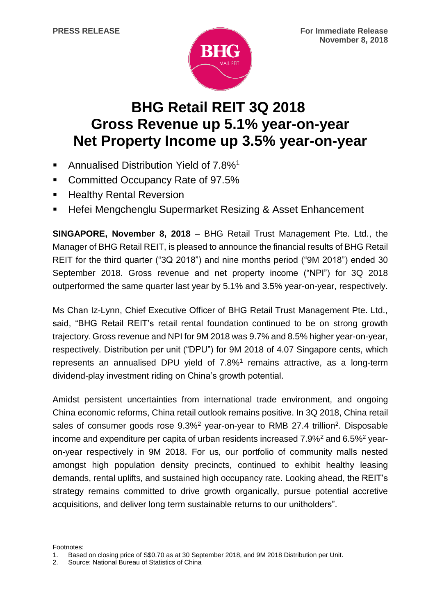

# **BHG Retail REIT 3Q 2018 Gross Revenue up 5.1% year-on-year Net Property Income up 3.5% year-on-year**

- Annualised Distribution Yield of 7.8%<sup>1</sup>
- Committed Occupancy Rate of 97.5%
- **EXEC** Healthy Rental Reversion
- **Hefei Mengchenglu Supermarket Resizing & Asset Enhancement**

**SINGAPORE, November 8, 2018** – BHG Retail Trust Management Pte. Ltd., the Manager of BHG Retail REIT, is pleased to announce the financial results of BHG Retail REIT for the third quarter ("3Q 2018") and nine months period ("9M 2018") ended 30 September 2018. Gross revenue and net property income ("NPI") for 3Q 2018 outperformed the same quarter last year by 5.1% and 3.5% year-on-year, respectively.

Ms Chan Iz-Lynn, Chief Executive Officer of BHG Retail Trust Management Pte. Ltd., said, "BHG Retail REIT's retail rental foundation continued to be on strong growth trajectory. Gross revenue and NPI for 9M 2018 was 9.7% and 8.5% higher year-on-year, respectively. Distribution per unit ("DPU") for 9M 2018 of 4.07 Singapore cents, which represents an annualised DPU yield of  $7.8\%$ <sup>1</sup> remains attractive, as a long-term dividend-play investment riding on China's growth potential.

Amidst persistent uncertainties from international trade environment, and ongoing China economic reforms, China retail outlook remains positive. In 3Q 2018, China retail sales of consumer goods rose 9.3%<sup>2</sup> year-on-year to RMB 27.4 trillion<sup>2</sup>. Disposable income and expenditure per capita of urban residents increased  $7.9\%^2$  and  $6.5\%^2$  yearon-year respectively in 9M 2018. For us, our portfolio of community malls nested amongst high population density precincts, continued to exhibit healthy leasing demands, rental uplifts, and sustained high occupancy rate. Looking ahead, the REIT's strategy remains committed to drive growth organically, pursue potential accretive acquisitions, and deliver long term sustainable returns to our unitholders".

Footnotes:

<sup>1.</sup> Based on closing price of S\$0.70 as at 30 September 2018, and 9M 2018 Distribution per Unit.

<sup>2.</sup> Source: National Bureau of Statistics of China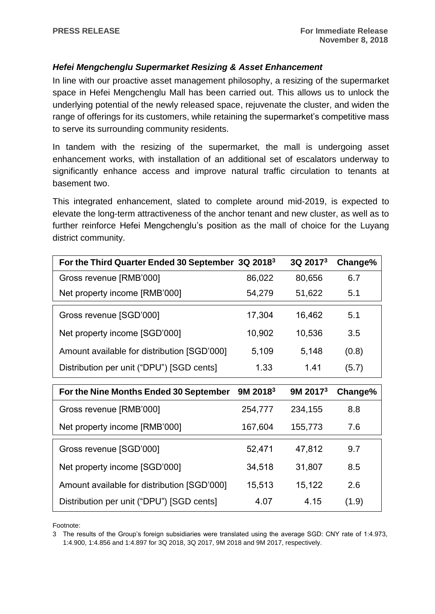# *Hefei Mengchenglu Supermarket Resizing & Asset Enhancement*

In line with our proactive asset management philosophy, a resizing of the supermarket space in Hefei Mengchenglu Mall has been carried out. This allows us to unlock the underlying potential of the newly released space, rejuvenate the cluster, and widen the range of offerings for its customers, while retaining the supermarket's competitive mass to serve its surrounding community residents.

In tandem with the resizing of the supermarket, the mall is undergoing asset enhancement works, with installation of an additional set of escalators underway to significantly enhance access and improve natural traffic circulation to tenants at basement two.

This integrated enhancement, slated to complete around mid-2019, is expected to elevate the long-term attractiveness of the anchor tenant and new cluster, as well as to further reinforce Hefei Mengchenglu's position as the mall of choice for the Luyang district community.

| For the Third Quarter Ended 30 September 3Q 2018 <sup>3</sup> |        | 3Q 2017 <sup>3</sup> | Change% |
|---------------------------------------------------------------|--------|----------------------|---------|
| Gross revenue [RMB'000]                                       | 86,022 | 80,656               | 6.7     |
| Net property income [RMB'000]                                 | 54,279 | 51,622               | 5.1     |
| Gross revenue [SGD'000]                                       | 17,304 | 16,462               | 5.1     |
| Net property income [SGD'000]                                 | 10,902 | 10,536               | 3.5     |
| Amount available for distribution [SGD'000]                   | 5,109  | 5,148                | (0.8)   |
| Distribution per unit ("DPU") [SGD cents]                     | 1.33   | 1.41                 | (5.7)   |

| For the Nine Months Ended 30 September      | $9M$ 2018 <sup>3</sup> | $9M$ 2017 <sup>3</sup> | Change% |
|---------------------------------------------|------------------------|------------------------|---------|
| Gross revenue [RMB'000]                     | 254,777                | 234,155                | 8.8     |
| Net property income [RMB'000]               | 167,604                | 155,773                | 7.6     |
| Gross revenue [SGD'000]                     | 52,471                 | 47,812                 | 9.7     |
| Net property income [SGD'000]               | 34,518                 | 31,807                 | 8.5     |
| Amount available for distribution [SGD'000] | 15,513                 | 15,122                 | 2.6     |
| Distribution per unit ("DPU") [SGD cents]   | 4.07                   | 4 15                   | (1.9)   |

Footnote:

3 The results of the Group's foreign subsidiaries were translated using the average SGD: CNY rate of 1:4.973, 1:4.900, 1:4.856 and 1:4.897 for 3Q 2018, 3Q 2017, 9M 2018 and 9M 2017, respectively.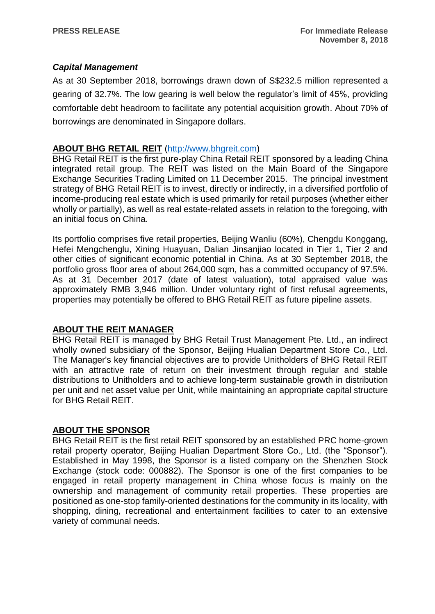## *Capital Management*

As at 30 September 2018, borrowings drawn down of S\$232.5 million represented a gearing of 32.7%. The low gearing is well below the regulator's limit of 45%, providing comfortable debt headroom to facilitate any potential acquisition growth. About 70% of borrowings are denominated in Singapore dollars.

## **ABOUT BHG RETAIL REIT** [\(http://www.bhgreit.com\)](http://www.bhgreit.com/)

BHG Retail REIT is the first pure-play China Retail REIT sponsored by a leading China integrated retail group. The REIT was listed on the Main Board of the Singapore Exchange Securities Trading Limited on 11 December 2015. The principal investment strategy of BHG Retail REIT is to invest, directly or indirectly, in a diversified portfolio of income-producing real estate which is used primarily for retail purposes (whether either wholly or partially), as well as real estate-related assets in relation to the foregoing, with an initial focus on China.

Its portfolio comprises five retail properties, Beijing Wanliu (60%), Chengdu Konggang, Hefei Mengchenglu, Xining Huayuan, Dalian Jinsanjiao located in Tier 1, Tier 2 and other cities of significant economic potential in China. As at 30 September 2018, the portfolio gross floor area of about 264,000 sqm, has a committed occupancy of 97.5%. As at 31 December 2017 (date of latest valuation), total appraised value was approximately RMB 3,946 million. Under voluntary right of first refusal agreements, properties may potentially be offered to BHG Retail REIT as future pipeline assets.

## **ABOUT THE REIT MANAGER**

BHG Retail REIT is managed by BHG Retail Trust Management Pte. Ltd., an indirect wholly owned subsidiary of the Sponsor, Beijing Hualian Department Store Co., Ltd. The Manager's key financial objectives are to provide Unitholders of BHG Retail REIT with an attractive rate of return on their investment through regular and stable distributions to Unitholders and to achieve long-term sustainable growth in distribution per unit and net asset value per Unit, while maintaining an appropriate capital structure for BHG Retail REIT.

#### **ABOUT THE SPONSOR**

BHG Retail REIT is the first retail REIT sponsored by an established PRC home-grown retail property operator, Beijing Hualian Department Store Co., Ltd. (the "Sponsor"). Established in May 1998, the Sponsor is a listed company on the Shenzhen Stock Exchange (stock code: 000882). The Sponsor is one of the first companies to be engaged in retail property management in China whose focus is mainly on the ownership and management of community retail properties. These properties are positioned as one-stop family-oriented destinations for the community in its locality, with shopping, dining, recreational and entertainment facilities to cater to an extensive variety of communal needs.